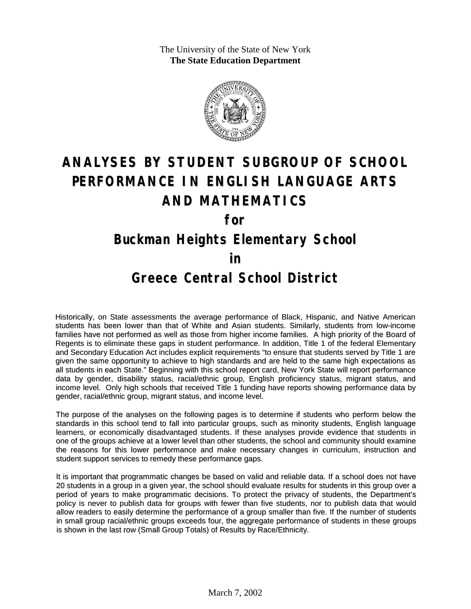The University of the State of New York **The State Education Department**



# **ANALYSES BY STUDENT SUBGROUP OF SCHOOL PERFORMANCE IN ENGLISH LANGUAGE ARTS AND MATHEMATICS**

**for**

#### **Buckman Heights Elementary School**

**in**

#### **Greece Central School District**

Historically, on State assessments the average performance of Black, Hispanic, and Native American students has been lower than that of White and Asian students. Similarly, students from low-income families have not performed as well as those from higher income families. A high priority of the Board of Regents is to eliminate these gaps in student performance. In addition, Title 1 of the federal Elementary and Secondary Education Act includes explicit requirements "to ensure that students served by Title 1 are given the same opportunity to achieve to high standards and are held to the same high expectations as all students in each State." Beginning with this school report card, New York State will report performance data by gender, disability status, racial/ethnic group, English proficiency status, migrant status, and income level. Only high schools that received Title 1 funding have reports showing performance data by gender, racial/ethnic group, migrant status, and income level.

The purpose of the analyses on the following pages is to determine if students who perform below the standards in this school tend to fall into particular groups, such as minority students, English language learners, or economically disadvantaged students. If these analyses provide evidence that students in one of the groups achieve at a lower level than other students, the school and community should examine the reasons for this lower performance and make necessary changes in curriculum, instruction and student support services to remedy these performance gaps.

It is important that programmatic changes be based on valid and reliable data. If a school does not have 20 students in a group in a given year, the school should evaluate results for students in this group over a period of years to make programmatic decisions. To protect the privacy of students, the Department's policy is never to publish data for groups with fewer than five students, nor to publish data that would allow readers to easily determine the performance of a group smaller than five. If the number of students in small group racial/ethnic groups exceeds four, the aggregate performance of students in these groups is shown in the last row (Small Group Totals) of Results by Race/Ethnicity.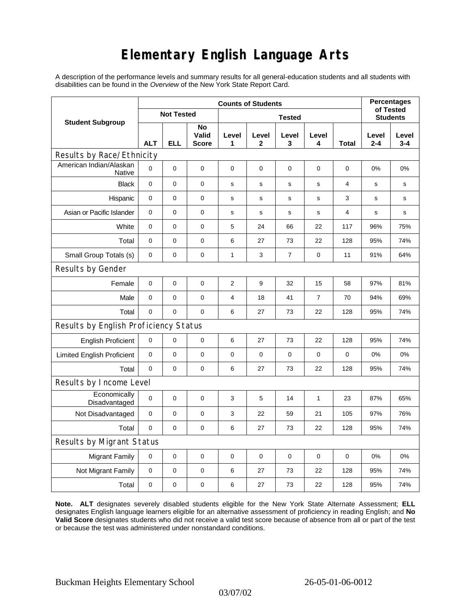## **Elementary English Language Arts**

A description of the performance levels and summary results for all general-education students and all students with disabilities can be found in the *Overview* of the New York State Report Card.

| <b>Student Subgroup</b>               | <b>Counts of Students</b> |     |                             |                |             |                |             |                | <b>Percentages</b><br>of Tested |                  |
|---------------------------------------|---------------------------|-----|-----------------------------|----------------|-------------|----------------|-------------|----------------|---------------------------------|------------------|
|                                       | <b>Not Tested</b>         |     |                             | <b>Tested</b>  |             |                |             |                | <b>Students</b>                 |                  |
|                                       | <b>ALT</b>                | ELL | No<br>Valid<br><b>Score</b> | Level<br>1     | Level<br>2  | Level<br>3     | Level<br>4  | Total          | Level<br>$2 - 4$                | Level<br>$3 - 4$ |
| Results by Race/Ethnicity             |                           |     |                             |                |             |                |             |                |                                 |                  |
| American Indian/Alaskan<br>Native     | $\Omega$                  | 0   | $\pmb{0}$                   | $\pmb{0}$      | 0           | 0              | 0           | 0              | 0%                              | 0%               |
| <b>Black</b>                          | $\mathbf 0$               | 0   | 0                           | s              | s           | s              | s           | $\overline{4}$ | s                               | s                |
| Hispanic                              | 0                         | 0   | $\pmb{0}$                   | s              | s           | ${\bf s}$      | s           | 3              | s                               | s                |
| Asian or Pacific Islander             | $\mathbf 0$               | 0   | $\mathbf 0$                 | s              | s           | $\mathsf{s}$   | s           | 4              | s                               | s                |
| White                                 | $\mathbf 0$               | 0   | $\mathbf 0$                 | 5              | 24          | 66             | 22          | 117            | 96%                             | 75%              |
| Total                                 | $\mathbf 0$               | 0   | 0                           | 6              | 27          | 73             | 22          | 128            | 95%                             | 74%              |
| Small Group Totals (s)                | 0                         | 0   | 0                           | 1              | 3           | $\overline{7}$ | 0           | 11             | 91%                             | 64%              |
| Results by Gender                     |                           |     |                             |                |             |                |             |                |                                 |                  |
| Female                                | $\mathbf 0$               | 0   | $\pmb{0}$                   | $\overline{2}$ | 9           | 32             | 15          | 58             | 97%                             | 81%              |
| Male                                  | $\mathbf 0$               | 0   | 0                           | 4              | 18          | 41             | 7           | 70             | 94%                             | 69%              |
| Total                                 | $\mathbf 0$               | 0   | $\mathbf 0$                 | 6              | 27          | 73             | 22          | 128            | 95%                             | 74%              |
| Results by English Proficiency Status |                           |     |                             |                |             |                |             |                |                                 |                  |
| <b>English Proficient</b>             | 0                         | 0   | $\pmb{0}$                   | 6              | 27          | 73             | 22          | 128            | 95%                             | 74%              |
| <b>Limited English Proficient</b>     | 0                         | 0   | $\pmb{0}$                   | 0              | 0           | $\mathbf 0$    | 0           | $\mathbf 0$    | 0%                              | 0%               |
| Total                                 | $\Omega$                  | 0   | $\pmb{0}$                   | 6              | 27          | 73             | 22          | 128            | 95%                             | 74%              |
| Results by Income Level               |                           |     |                             |                |             |                |             |                |                                 |                  |
| Economically<br>Disadvantaged         | $\mathbf 0$               | 0   | $\mathbf 0$                 | 3              | 5           | 14             | 1           | 23             | 87%                             | 65%              |
| Not Disadvantaged                     | 0                         | 0   | $\mathbf 0$                 | 3              | 22          | 59             | 21          | 105            | 97%                             | 76%              |
| Total                                 | $\mathbf 0$               | 0   | 0                           | 6              | 27          | 73             | 22          | 128            | 95%                             | 74%              |
| <b>Results by Migrant Status</b>      |                           |     |                             |                |             |                |             |                |                                 |                  |
| <b>Migrant Family</b>                 | 0                         | 0   | 0                           | 0              | $\mathbf 0$ | $\mathbf 0$    | $\mathbf 0$ | $\mathbf 0$    | 0%                              | 0%               |
| Not Migrant Family                    | $\mathbf 0$               | 0   | $\pmb{0}$                   | 6              | 27          | 73             | 22          | 128            | 95%                             | 74%              |
| Total                                 | $\mathbf 0$               | 0   | $\pmb{0}$                   | 6              | 27          | 73             | 22          | 128            | 95%                             | 74%              |

**Note. ALT** designates severely disabled students eligible for the New York State Alternate Assessment; **ELL** designates English language learners eligible for an alternative assessment of proficiency in reading English; and **No Valid Score** designates students who did not receive a valid test score because of absence from all or part of the test or because the test was administered under nonstandard conditions.

03/07/02